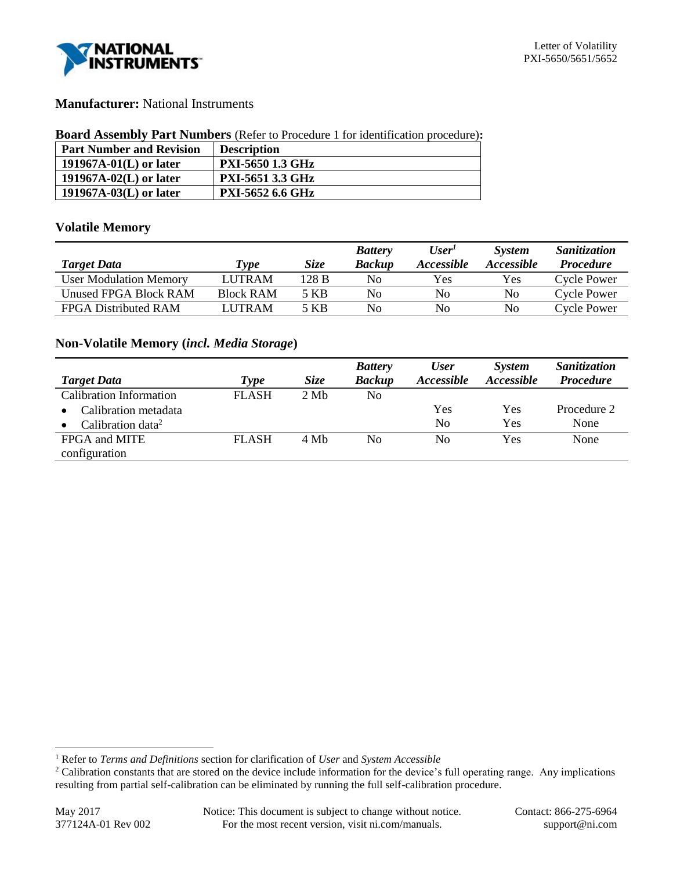

# **Manufacturer:** National Instruments

| <b>Board Assembly Part Numbers</b> (Refer to Procedure 1 for identification procedure): |  |  |  |
|-----------------------------------------------------------------------------------------|--|--|--|
|-----------------------------------------------------------------------------------------|--|--|--|

| <b>Part Number and Revision</b> | <b>Description</b>      |
|---------------------------------|-------------------------|
| 191967A-01 $(L)$ or later       | <b>PXI-5650 1.3 GHz</b> |
| 191967A-02 $(L)$ or later       | <b>PXI-5651 3.3 GHz</b> |
| $191967A-03(L)$ or later        | <b>PXI-5652 6.6 GHz</b> |

# **Volatile Memory**

|                               |                  |       | <b>Battery</b> | User <sup>T</sup>        | <b>System</b>     | Sanitization       |
|-------------------------------|------------------|-------|----------------|--------------------------|-------------------|--------------------|
| <b>Target Data</b>            | Type             | Size  | <b>Backup</b>  | <i><b>Accessible</b></i> | <i>Accessible</i> | <b>Procedure</b>   |
| <b>User Modulation Memory</b> | <b>LUTRAM</b>    | 128 B | N <sub>0</sub> | Yes                      | Yes               | <b>Cycle Power</b> |
| Unused FPGA Block RAM         | <b>Block RAM</b> | 5 KB  | No.            | No                       | No                | <b>Cycle Power</b> |
| FPGA Distributed RAM          | <b>LUTRAM</b>    | 5 KB  | No.            | No                       | No                | <b>Cycle Power</b> |

## **Non-Volatile Memory (***incl. Media Storage***)**

|                               |              |             | <b>Battery</b> | <b>User</b>              | <b>System</b>     | Sanitization     |
|-------------------------------|--------------|-------------|----------------|--------------------------|-------------------|------------------|
| <b>Target Data</b>            | Type         | <b>Size</b> | <b>Backup</b>  | <i><b>Accessible</b></i> | <i>Accessible</i> | <b>Procedure</b> |
| Calibration Information       | <b>FLASH</b> | 2 Mh        | No             |                          |                   |                  |
| Calibration metadata          |              |             |                | Yes                      | Yes               | Procedure 2      |
| Calibration data <sup>2</sup> |              |             |                | N <sub>0</sub>           | Yes               | None             |
| FPGA and MITE                 | <b>FLASH</b> | 4 Mb        | No             | No                       | Yes               | None             |
| configuration                 |              |             |                |                          |                   |                  |

l

<sup>1</sup> Refer to *Terms and Definitions* section for clarification of *User* and *System Accessible*

<sup>&</sup>lt;sup>2</sup> Calibration constants that are stored on the device include information for the device's full operating range. Any implications resulting from partial self-calibration can be eliminated by running the full self-calibration procedure.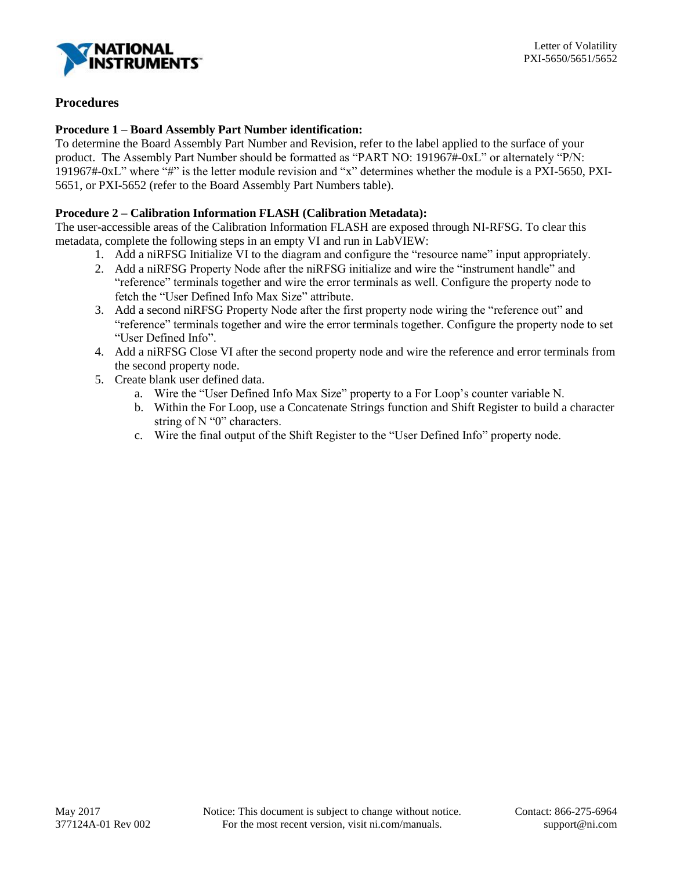

# **Procedures**

## **Procedure 1 – Board Assembly Part Number identification:**

To determine the Board Assembly Part Number and Revision, refer to the label applied to the surface of your product. The Assembly Part Number should be formatted as "PART NO: 191967#-0xL" or alternately "P/N: 191967#-0xL" where "#" is the letter module revision and "x" determines whether the module is a PXI-5650, PXI-5651, or PXI-5652 (refer to the Board Assembly Part Numbers table).

## **Procedure 2 – Calibration Information FLASH (Calibration Metadata):**

The user-accessible areas of the Calibration Information FLASH are exposed through NI-RFSG. To clear this metadata, complete the following steps in an empty VI and run in LabVIEW:

- 1. Add a niRFSG Initialize VI to the diagram and configure the "resource name" input appropriately.
- 2. Add a niRFSG Property Node after the niRFSG initialize and wire the "instrument handle" and "reference" terminals together and wire the error terminals as well. Configure the property node to fetch the "User Defined Info Max Size" attribute.
- 3. Add a second niRFSG Property Node after the first property node wiring the "reference out" and "reference" terminals together and wire the error terminals together. Configure the property node to set "User Defined Info".
- 4. Add a niRFSG Close VI after the second property node and wire the reference and error terminals from the second property node.
- 5. Create blank user defined data.
	- a. Wire the "User Defined Info Max Size" property to a For Loop's counter variable N.
	- b. Within the For Loop, use a Concatenate Strings function and Shift Register to build a character string of N "0" characters.
	- c. Wire the final output of the Shift Register to the "User Defined Info" property node.